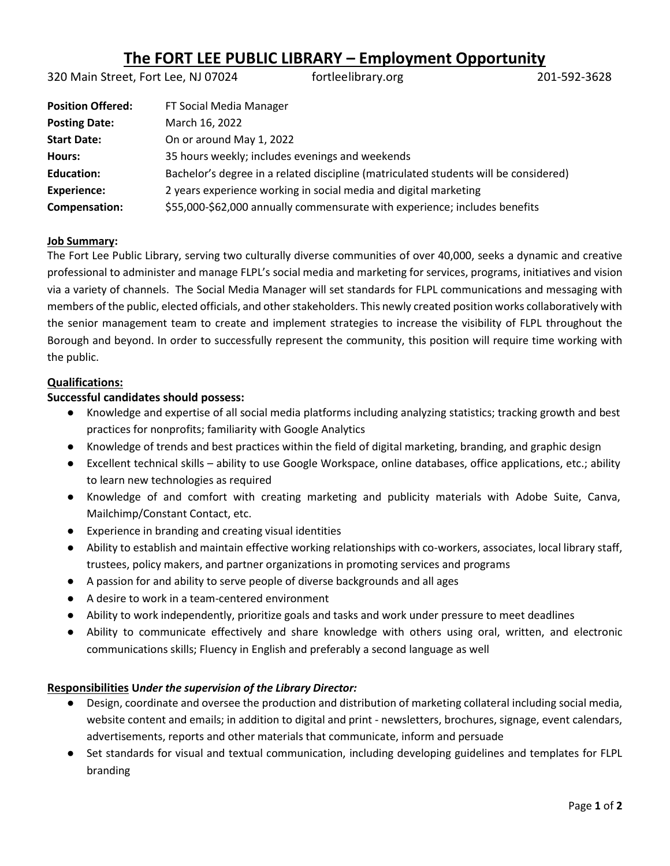# **The FORT LEE PUBLIC LIBRARY – Employment Opportunity**

320 Main Street, Fort Lee, NJ 07024 fortleelibrary.org 201-592-3628

| <b>Position Offered:</b> | FT Social Media Manager                                                              |
|--------------------------|--------------------------------------------------------------------------------------|
| <b>Posting Date:</b>     | March 16, 2022                                                                       |
| <b>Start Date:</b>       | On or around May 1, 2022                                                             |
| Hours:                   | 35 hours weekly; includes evenings and weekends                                      |
| <b>Education:</b>        | Bachelor's degree in a related discipline (matriculated students will be considered) |
| <b>Experience:</b>       | 2 years experience working in social media and digital marketing                     |
| Compensation:            | \$55,000-\$62,000 annually commensurate with experience; includes benefits           |

#### **Job Summary:**

The Fort Lee Public Library, serving two culturally diverse communities of over 40,000, seeks a dynamic and creative professional to administer and manage FLPL's social media and marketing for services, programs, initiatives and vision via a variety of channels. The Social Media Manager will set standards for FLPL communications and messaging with members of the public, elected officials, and other stakeholders. This newly created position works collaboratively with the senior management team to create and implement strategies to increase the visibility of FLPL throughout the Borough and beyond. In order to successfully represent the community, this position will require time working with the public.

#### **Qualifications:**

#### **Successful candidates should possess:**

- Knowledge and expertise of all social media platforms including analyzing statistics; tracking growth and best practices for nonprofits; familiarity with Google Analytics
- Knowledge of trends and best practices within the field of digital marketing, branding, and graphic design
- Excellent technical skills ability to use Google Workspace, online databases, office applications, etc.; ability to learn new technologies as required
- Knowledge of and comfort with creating marketing and publicity materials with Adobe Suite, Canva, Mailchimp/Constant Contact, etc.
- Experience in branding and creating visual identities
- Ability to establish and maintain effective working relationships with co-workers, associates, local library staff, trustees, policy makers, and partner organizations in promoting services and programs
- A passion for and ability to serve people of diverse backgrounds and all ages
- A desire to work in a team-centered environment
- Ability to work independently, prioritize goals and tasks and work under pressure to meet deadlines
- Ability to communicate effectively and share knowledge with others using oral, written, and electronic communications skills; Fluency in English and preferably a second language as well

#### **Responsibilities U***nder the supervision of the Library Director:*

- Design, coordinate and oversee the production and distribution of marketing collateral including social media, website content and emails; in addition to digital and print - newsletters, brochures, signage, event calendars, advertisements, reports and other materials that communicate, inform and persuade
- Set standards for visual and textual communication, including developing guidelines and templates for FLPL branding